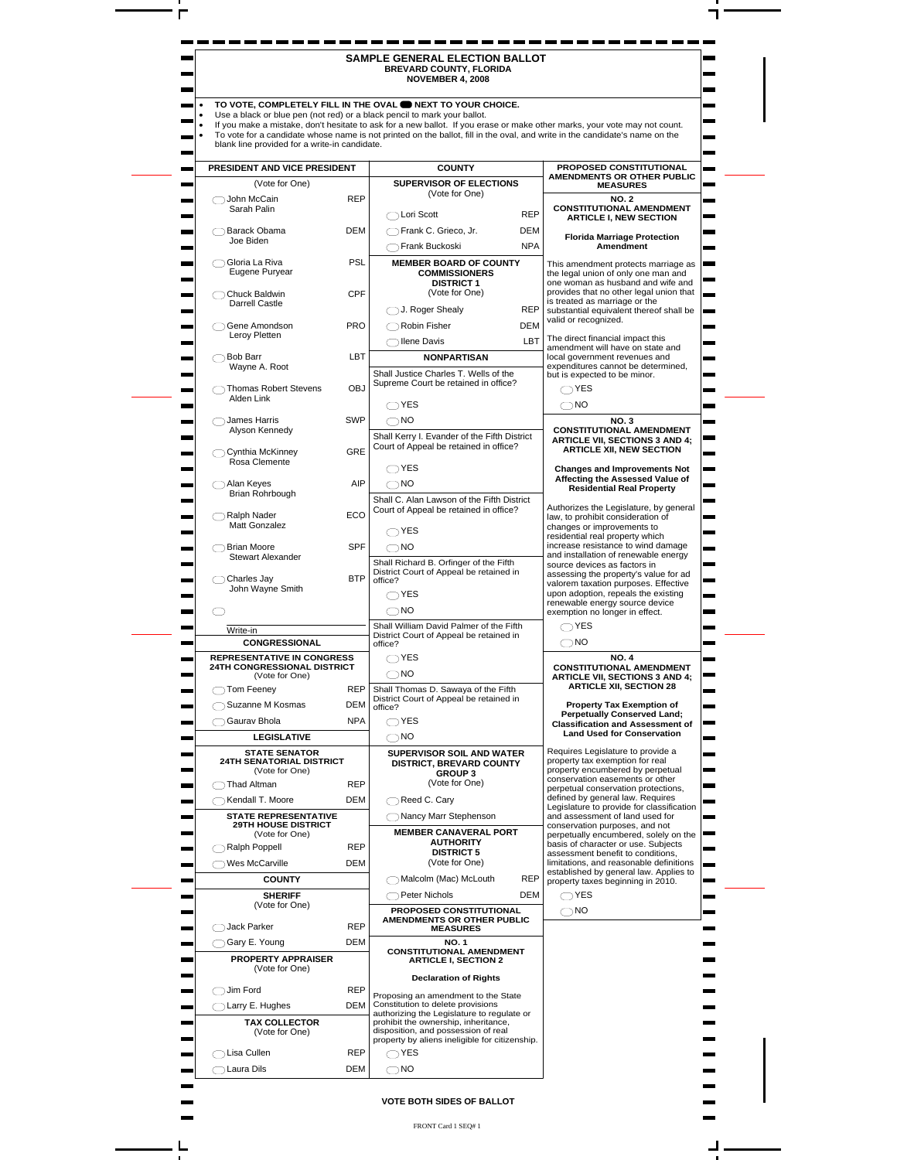|                                                                                                        |            | SAMPLE GENERAL ELECTION BALLOT<br><b>BREVARD COUNTY, FLORIDA</b><br><b>NOVEMBER 4, 2008</b>                                          |                               |
|--------------------------------------------------------------------------------------------------------|------------|--------------------------------------------------------------------------------------------------------------------------------------|-------------------------------|
|                                                                                                        |            | TO VOTE, COMPLETELY FILL IN THE OVAL <b>ONEXAT TO YOUR CHOICE.</b>                                                                   |                               |
| Use a black or blue pen (not red) or a black pencil to mark your ballot.                               |            | If you make a mistake, don't hesitate to ask for a new ballot. If you erase or make other marks, your vote may not count.            |                               |
| blank line provided for a write-in candidate.                                                          |            | To vote for a candidate whose name is not printed on the ballot, fill in the oval, and write in the candidate's name on the          |                               |
| PRESIDENT AND VICE PRESIDENT                                                                           |            | PROPOSED CONSTITUTIONAL<br><b>COUNTY</b>                                                                                             |                               |
| (Vote for One)                                                                                         |            | AMENDMENTS OR OTHER PUBLIC<br>SUPERVISOR OF ELECTIONS<br><b>MEASURES</b>                                                             |                               |
| ◯John McCain                                                                                           | <b>REP</b> | (Vote for One)<br><b>NO. 2</b>                                                                                                       |                               |
| Sarah Palin                                                                                            |            | <b>CONSTITUTIONAL AMENDMENT</b><br><b>REP</b><br>◯ Lori Scott<br><b>ARTICLE I, NEW SECTION</b>                                       |                               |
| Barack Obama<br>Joe Biden                                                                              | <b>DEM</b> | ◯Frank C. Grieco, Jr.<br>DEM<br><b>Florida Marriage Protection</b>                                                                   |                               |
|                                                                                                        |            | <b>NPA</b><br>◯Frank Buckoski<br>Amendment                                                                                           |                               |
| ◯ Gloria La Riva<br>Eugene Puryear                                                                     | <b>PSL</b> | <b>MEMBER BOARD OF COUNTY</b><br>This amendment protects marriage as<br><b>COMMISSIONERS</b><br>the legal union of only one man and  |                               |
| ◯ Chuck Baldwin<br>Darrell Castle<br>◯Gene Amondson                                                    | <b>CPF</b> | <b>DISTRICT 1</b><br>one woman as husband and wife and<br>provides that no other legal union that<br>(Vote for One)                  |                               |
|                                                                                                        |            | is treated as marriage or the<br>J. Roger Shealy<br><b>REP</b><br>substantial equivalent thereof shall be                            |                               |
|                                                                                                        | <b>PRO</b> | valid or recognized.<br><b>DEM</b><br>Robin Fisher                                                                                   |                               |
| Leroy Pletten                                                                                          |            | The direct financial impact this<br>LBT<br>◯ llene Davis<br>amendment will have on state and                                         |                               |
| ◯ Bob Barr<br>Wayne A. Root                                                                            | LBT        | local government revenues and<br><b>NONPARTISAN</b><br>expenditures cannot be determined,                                            |                               |
|                                                                                                        |            | Shall Justice Charles T. Wells of the<br>but is expected to be minor.<br>Supreme Court be retained in office?                        |                               |
| ◯ Thomas Robert Stevens<br>Alden Link                                                                  | <b>OBJ</b> | $\bigcirc$ YES                                                                                                                       |                               |
| ◯ James Harris                                                                                         | SWP        | $\bigcirc$ YES<br>$\bigcirc$ NO<br>$\bigcirc$ NO<br><b>NO.3</b>                                                                      | ۰                             |
| Alyson Kennedy                                                                                         |            | <b>CONSTITUTIONAL AMENDMENT</b><br>Shall Kerry I. Evander of the Fifth District                                                      |                               |
| ◯ Cynthia McKinney<br>Rosa Clemente<br>◯ Alan Keyes<br>Brian Rohrbough<br>Ralph Nader<br>Matt Gonzalez | GRE        | <b>ARTICLE VII, SECTIONS 3 AND 4;</b><br>Court of Appeal be retained in office?<br><b>ARTICLE XII, NEW SECTION</b>                   |                               |
|                                                                                                        |            | $\bigcirc$ YES<br><b>Changes and Improvements Not</b>                                                                                | <b>The Contract of Street</b> |
|                                                                                                        | AIP        | Affecting the Assessed Value of<br>$\bigcirc$ NO<br><b>Residential Real Property</b>                                                 |                               |
|                                                                                                        |            | Shall C. Alan Lawson of the Fifth District<br>Authorizes the Legislature, by general<br>Court of Appeal be retained in office?       |                               |
|                                                                                                        | ECO        | law, to prohibit consideration of<br>changes or improvements to                                                                      |                               |
| ◯ Brian Moore                                                                                          | <b>SPF</b> | $\bigcirc$ YES<br>residential real property which<br>increase resistance to wind damage<br>$\bigcirc$ NO                             | man i                         |
| Stewart Alexander                                                                                      |            | and installation of renewable energy<br>Shall Richard B. Orfinger of the Fifth<br>source devices as factors in                       |                               |
| $\bigcap$ Charles Jay                                                                                  | <b>BTP</b> | District Court of Appeal be retained in<br>assessing the property's value for ad<br>office?<br>valorem taxation purposes. Effective  |                               |
| John Wayne Smith                                                                                       |            | upon adoption, repeals the existing<br>$\bigcap$ YES                                                                                 |                               |
| ◯                                                                                                      |            | renewable energy source device<br>$\bigcirc$ NO<br>exemption no longer in effect.                                                    | <b>The State</b>              |
| Write-in                                                                                               |            | Shall William David Palmer of the Fifth<br>$\bigcirc$ YES<br>District Court of Appeal be retained in                                 |                               |
| <b>CONGRESSIONAL</b>                                                                                   |            | $\bigcirc$ NO<br>office?<br>$\bigcirc$ YES                                                                                           |                               |
| <b>REPRESENTATIVE IN CONGRESS</b><br><b>24TH CONGRESSIONAL DISTRICT</b>                                |            | <b>NO. 4</b><br><b>CONSTITUTIONAL AMENDMENT</b><br>$\bigcirc$ NO                                                                     |                               |
| (Vote for One)<br>◯ Tom Feeney<br><b>The State</b>                                                     | <b>REP</b> | <b>ARTICLE VII, SECTIONS 3 AND 4;</b><br><b>ARTICLE XII, SECTION 28</b><br>Shall Thomas D. Sawava of the Fifth                       |                               |
| Suzanne M Kosmas<br><b>Contract</b>                                                                    | DEM        | District Court of Appeal be retained in<br>Property Tax Exemption of<br>office?                                                      |                               |
| ◯ Gaurav Bhola                                                                                         | <b>NPA</b> | <b>Perpetually Conserved Land;</b><br>$\bigcirc$ YES<br><b>Classification and Assessment of</b>                                      |                               |
| <b>LEGISLATIVE</b>                                                                                     |            | <b>Land Used for Conservation</b><br>$\bigcirc$ NO                                                                                   | ▬                             |
| <b>STATE SENATOR</b><br><b>24TH SENATORIAL DISTRICT</b>                                                |            | Requires Legislature to provide a<br><b>SUPERVISOR SOIL AND WATER</b><br>property tax exemption for real<br>DISTRICT, BREVARD COUNTY |                               |
| (Vote for One)<br>◯Thad Altman                                                                         | <b>REP</b> | property encumbered by perpetual<br><b>GROUP3</b><br>conservation easements or other<br>(Vote for One)                               |                               |
| ◯ Kendall T. Moore                                                                                     | DEM        | perpetual conservation protections.<br>defined by general law. Requires<br>Reed C. Cary                                              |                               |
| <b>STATE REPRESENTATIVE</b>                                                                            |            | Legislature to provide for classification<br>Nancy Marr Stephenson<br>and assessment of land used for                                |                               |
| <b>29TH HOUSE DISTRICT</b><br>(Vote for One)                                                           |            | conservation purposes, and not<br><b>MEMBER CANAVERAL PORT</b><br>perpetually encumbered, solely on the                              |                               |
| Ralph Poppell                                                                                          | <b>REP</b> | <b>AUTHORITY</b><br>basis of character or use. Subjects<br><b>DISTRICT 5</b><br>assessment benefit to conditions,                    |                               |
| ◯ Wes McCarville<br><b>Contract</b>                                                                    | DEM        | (Vote for One)<br>limitations, and reasonable definitions<br>established by general law. Applies to                                  |                               |
| <b>COUNTY</b><br><b>SHERIFF</b>                                                                        |            | Malcolm (Mac) McLouth<br><b>REP</b><br>property taxes beginning in 2010.<br>$\bigcap$ YES<br>◯ Peter Nichols<br>DEM                  | ۰                             |
| (Vote for One)                                                                                         |            | PROPOSED CONSTITUTIONAL<br>$\bigcirc$ NO                                                                                             |                               |
| ◯ Jack Parker                                                                                          | <b>REP</b> | AMENDMENTS OR OTHER PUBLIC<br><b>MEASURES</b>                                                                                        |                               |
| Gary E. Young<br><b>The Second Service</b>                                                             | DEM        | NO. 1                                                                                                                                |                               |
| PROPERTY APPRAISER                                                                                     |            | <b>CONSTITUTIONAL AMENDMENT</b><br><b>ARTICLE I, SECTION 2</b>                                                                       |                               |
| (Vote for One)                                                                                         |            | <b>Declaration of Rights</b>                                                                                                         |                               |
| $\bigcap$ Jim Ford                                                                                     | <b>REP</b> | Proposing an amendment to the State<br>Constitution to delete provisions                                                             |                               |
| ◯ Larry E. Hughes<br><b>TAX COLLECTOR</b><br><b>Contract</b>                                           | <b>DEM</b> | authorizing the Legislature to regulate or<br>prohibit the ownership, inheritance,                                                   |                               |
| (Vote for One)                                                                                         |            | disposition, and possession of real<br>property by aliens ineligible for citizenship.                                                |                               |
| ◯Lisa Cullen                                                                                           | <b>REP</b> | $\bigcirc$ YES                                                                                                                       |                               |
| ◯ Laura Dils                                                                                           | <b>DEM</b> | $\bigcirc$ NO                                                                                                                        |                               |

## **VOTE BOTH SIDES OF BALLOT**

FRONT Card 1 SEQ# 1

 $\overline{\phantom{a}}$ 

 $\overline{\phantom{a}}$ 

 $\overline{\phantom{0}}$